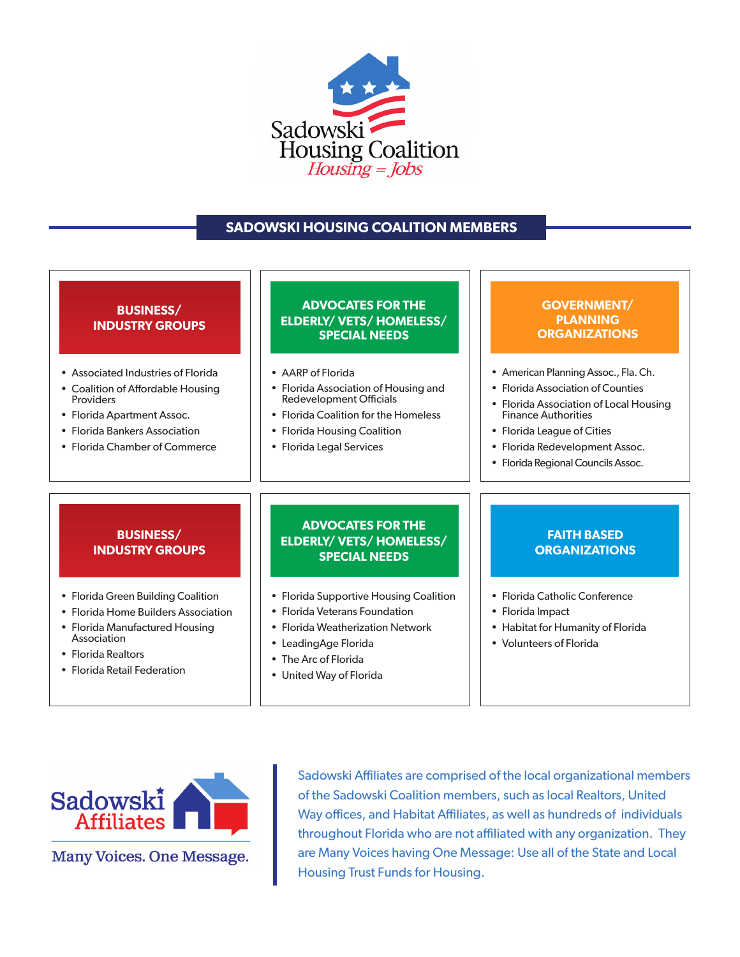

# **SADOWSKI HOUSING COALITION MEMBERS**

| <b>BUSINESS/</b><br><b>INDUSTRY GROUPS</b>                                                                                                                                           | <b>ADVOCATES FOR THE</b><br>ELDERLY/VETS/HOMELESS/<br><b>SPECIAL NEEDS</b>                                                                                                                     | <b>GOVERNMENT/</b><br><b>PLANNING</b><br><b>ORGANIZATIONS</b>                                                                                                                                                                                                      |
|--------------------------------------------------------------------------------------------------------------------------------------------------------------------------------------|------------------------------------------------------------------------------------------------------------------------------------------------------------------------------------------------|--------------------------------------------------------------------------------------------------------------------------------------------------------------------------------------------------------------------------------------------------------------------|
| • Associated Industries of Florida<br>• Coalition of Affordable Housing<br>Providers<br>• Florida Apartment Assoc.<br>• Florida Bankers Association<br>• Florida Chamber of Commerce | • AARP of Florida<br>• Florida Association of Housing and<br><b>Redevelopment Officials</b><br>• Florida Coalition for the Homeless<br>• Florida Housing Coalition<br>• Florida Legal Services | • American Planning Assoc., Fla. Ch.<br>• Florida Association of Counties<br>• Florida Association of Local Housing<br><b>Finance Authorities</b><br>• Florida League of Cities<br>• Florida Redevelopment Assoc.<br>Florida Regional Councils Assoc.<br>$\bullet$ |
| <b>BUSINESS/</b><br><b>INDUSTRY GROUPS</b>                                                                                                                                           | <b>ADVOCATES FOR THE</b><br>ELDERLY/VETS/HOMELESS/<br><b>SPECIAL NEEDS</b>                                                                                                                     | <b>FAITH BASED</b><br><b>ORGANIZATIONS</b>                                                                                                                                                                                                                         |
| • Florida Green Building Coalition<br>• Florida Home Builders Association<br>• Florida Manufactured Housing<br>Association<br>• Florida Realtors<br>• Florida Retail Federation      | • Florida Supportive Housing Coalition<br>• Florida Veterans Foundation<br>• Florida Weatherization Network<br>• LeadingAge Florida<br>• The Arc of Florida<br>• United Way of Florida         | • Florida Catholic Conference<br>• Florida Impact<br>• Habitat for Humanity of Florida<br>• Volunteers of Florida                                                                                                                                                  |



Sadowski Affiliates are comprised of the local organizational members of the Sadowski Coalition members, such as local Realtors, United Way offices, and Habitat Affiliates, as well as hundreds of individuals throughout Florida who are not affiliated with any organization. They are Many Voices having One Message: Use all of the State and Local Housing Trust Funds for Housing.